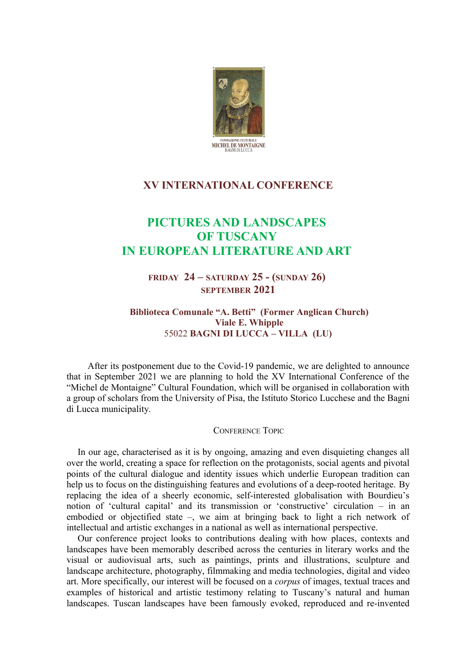

## **XV INTERNATIONAL CONFERENCE**

## **PICTURES AND LANDSCAPES OF TUSCANY IN EUROPEAN LITERATURE AND ART**

**FRIDAY 24 – SATURDAY 25 - (SUNDAY 26) SEPTEMBER 2021**

**Biblioteca Comunale "A. Betti" (Former Anglican Church) Viale E. Whipple** 55022 **BAGNI DI LUCCA – VILLA (LU)** 

After its postponement due to the Covid-19 pandemic, we are delighted to announce that in September 2021 we are planning to hold the XV International Conference of the "Michel de Montaigne" Cultural Foundation, which will be organised in collaboration with a group of scholars from the University of Pisa, the Istituto Storico Lucchese and the Bagni di Lucca municipality.

## CONFERENCE TOPIC

In our age, characterised as it is by ongoing, amazing and even disquieting changes all over the world, creating a space for reflection on the protagonists, social agents and pivotal points of the cultural dialogue and identity issues which underlie European tradition can help us to focus on the distinguishing features and evolutions of a deep-rooted heritage. By replacing the idea of a sheerly economic, self-interested globalisation with Bourdieu's notion of 'cultural capital' and its transmission or 'constructive' circulation – in an embodied or objectified state –, we aim at bringing back to light a rich network of intellectual and artistic exchanges in a national as well as international perspective.

Our conference project looks to contributions dealing with how places, contexts and landscapes have been memorably described across the centuries in literary works and the visual or audiovisual arts, such as paintings, prints and illustrations, sculpture and landscape architecture, photography, filmmaking and media technologies, digital and video art. More specifically, our interest will be focused on a *corpus* of images, textual traces and examples of historical and artistic testimony relating to Tuscany's natural and human landscapes. Tuscan landscapes have been famously evoked, reproduced and re-invented